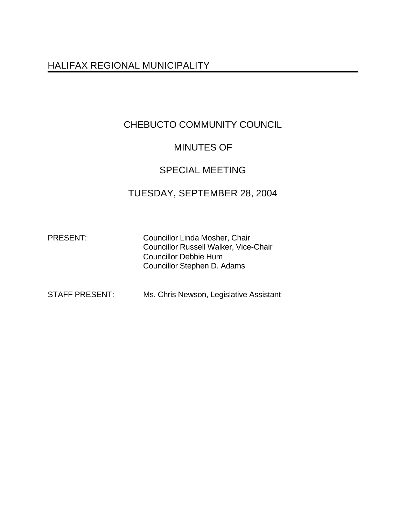# HALIFAX REGIONAL MUNICIPALITY

# CHEBUCTO COMMUNITY COUNCIL

## MINUTES OF

## SPECIAL MEETING

## TUESDAY, SEPTEMBER 28, 2004

PRESENT: Councillor Linda Mosher, Chair Councillor Russell Walker, Vice-Chair Councillor Debbie Hum Councillor Stephen D. Adams

STAFF PRESENT: Ms. Chris Newson, Legislative Assistant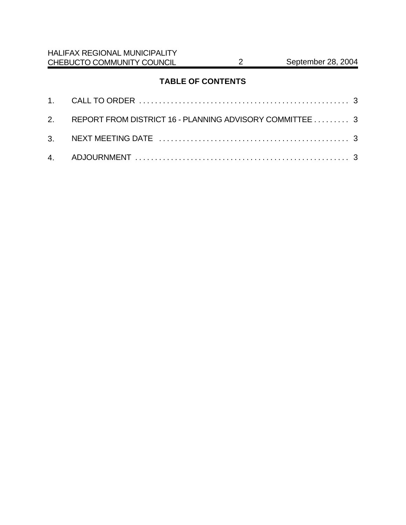## **TABLE OF CONTENTS**

| 2. REPORT FROM DISTRICT 16 - PLANNING ADVISORY COMMITTEE 3 |  |
|------------------------------------------------------------|--|
|                                                            |  |
|                                                            |  |